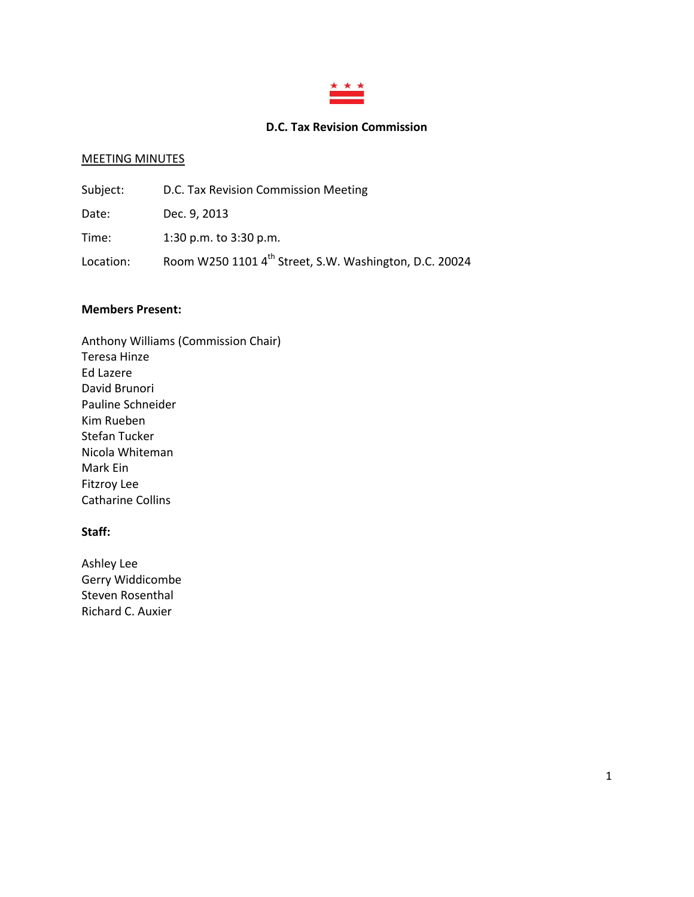

### **D.C. Tax Revision Commission**

#### MEETING MINUTES

| Subject:  | D.C. Tax Revision Commission Meeting                               |
|-----------|--------------------------------------------------------------------|
| Date:     | Dec. 9, 2013                                                       |
| Time:     | 1:30 p.m. to $3:30$ p.m.                                           |
| Location: | Room W250 1101 4 <sup>th</sup> Street, S.W. Washington, D.C. 20024 |

#### **Members Present:**

Anthony Williams (Commission Chair) Teresa Hinze Ed Lazere David Brunori Pauline Schneider Kim Rueben Stefan Tucker Nicola Whiteman Mark Ein Fitzroy Lee Catharine Collins

# **Staff:**

Ashley Lee Gerry Widdicombe Steven Rosenthal Richard C. Auxier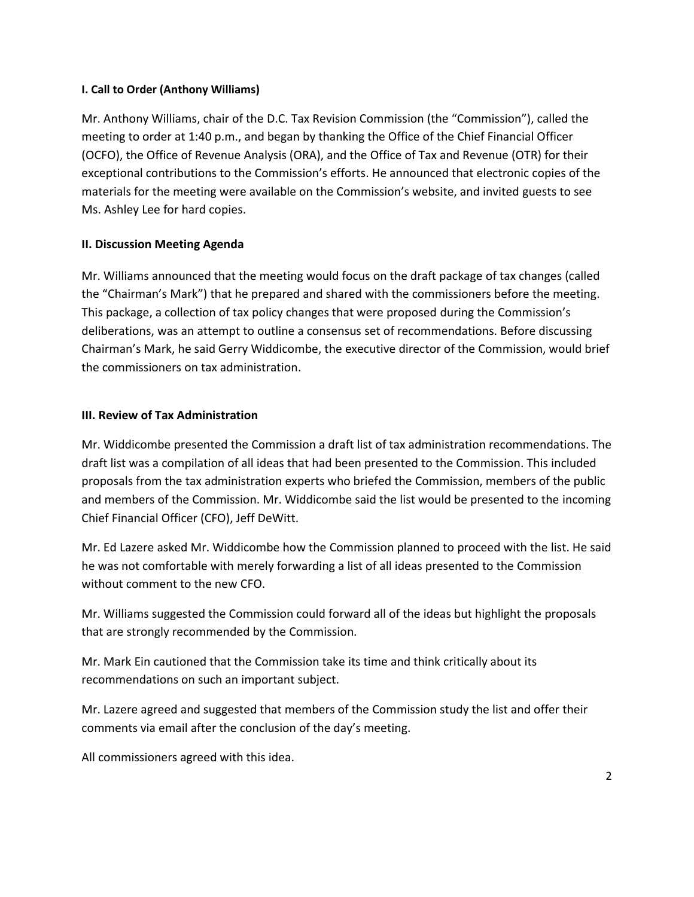### **I. Call to Order (Anthony Williams)**

Mr. Anthony Williams, chair of the D.C. Tax Revision Commission (the "Commission"), called the meeting to order at 1:40 p.m., and began by thanking the Office of the Chief Financial Officer (OCFO), the Office of Revenue Analysis (ORA), and the Office of Tax and Revenue (OTR) for their exceptional contributions to the Commission's efforts. He announced that electronic copies of the materials for the meeting were available on the Commission's website, and invited guests to see Ms. Ashley Lee for hard copies.

## **II. Discussion Meeting Agenda**

Mr. Williams announced that the meeting would focus on the draft package of tax changes (called the "Chairman's Mark") that he prepared and shared with the commissioners before the meeting. This package, a collection of tax policy changes that were proposed during the Commission's deliberations, was an attempt to outline a consensus set of recommendations. Before discussing Chairman's Mark, he said Gerry Widdicombe, the executive director of the Commission, would brief the commissioners on tax administration.

### **III. Review of Tax Administration**

Mr. Widdicombe presented the Commission a draft list of tax administration recommendations. The draft list was a compilation of all ideas that had been presented to the Commission. This included proposals from the tax administration experts who briefed the Commission, members of the public and members of the Commission. Mr. Widdicombe said the list would be presented to the incoming Chief Financial Officer (CFO), Jeff DeWitt.

Mr. Ed Lazere asked Mr. Widdicombe how the Commission planned to proceed with the list. He said he was not comfortable with merely forwarding a list of all ideas presented to the Commission without comment to the new CFO.

Mr. Williams suggested the Commission could forward all of the ideas but highlight the proposals that are strongly recommended by the Commission.

Mr. Mark Ein cautioned that the Commission take its time and think critically about its recommendations on such an important subject.

Mr. Lazere agreed and suggested that members of the Commission study the list and offer their comments via email after the conclusion of the day's meeting.

All commissioners agreed with this idea.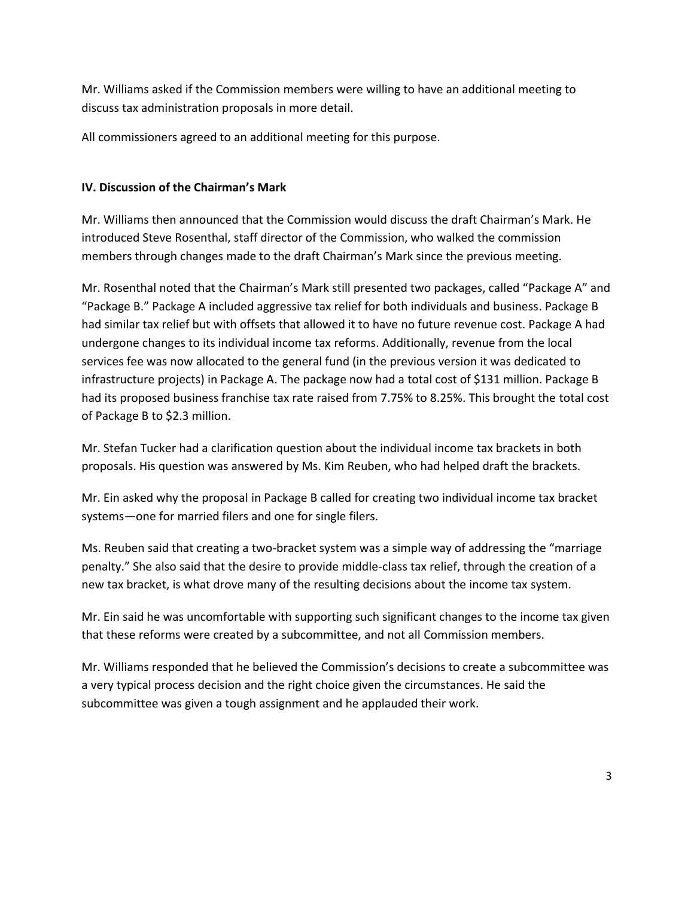Mr. Williams asked if the Commission members were willing to have an additional meeting to discuss tax administration proposals in more detail.

All commissioners agreed to an additional meeting for this purpose.

# **IV. Discussion of the Chairman's Mark**

Mr. Williams then announced that the Commission would discuss the draft Chairman's Mark. He introduced Steve Rosenthal, staff director of the Commission, who walked the commission members through changes made to the draft Chairman's Mark since the previous meeting.

Mr. Rosenthal noted that the Chairman's Mark still presented two packages, called "Package A" and "Package B." Package A included aggressive tax relief for both individuals and business. Package B had similar tax relief but with offsets that allowed it to have no future revenue cost. Package A had undergone changes to its individual income tax reforms. Additionally, revenue from the local services fee was now allocated to the general fund (in the previous version it was dedicated to infrastructure projects) in Package A. The package now had a total cost of \$131 million. Package B had its proposed business franchise tax rate raised from 7.75% to 8.25%. This brought the total cost of Package B to \$2.3 million.

Mr. Stefan Tucker had a clarification question about the individual income tax brackets in both proposals. His question was answered by Ms. Kim Reuben, who had helped draft the brackets.

Mr. Ein asked why the proposal in Package B called for creating two individual income tax bracket systems—one for married filers and one for single filers.

Ms. Reuben said that creating a two-bracket system was a simple way of addressing the "marriage penalty." She also said that the desire to provide middle-class tax relief, through the creation of a new tax bracket, is what drove many of the resulting decisions about the income tax system.

Mr. Ein said he was uncomfortable with supporting such significant changes to the income tax given that these reforms were created by a subcommittee, and not all Commission members.

Mr. Williams responded that he believed the Commission's decisions to create a subcommittee was a very typical process decision and the right choice given the circumstances. He said the subcommittee was given a tough assignment and he applauded their work.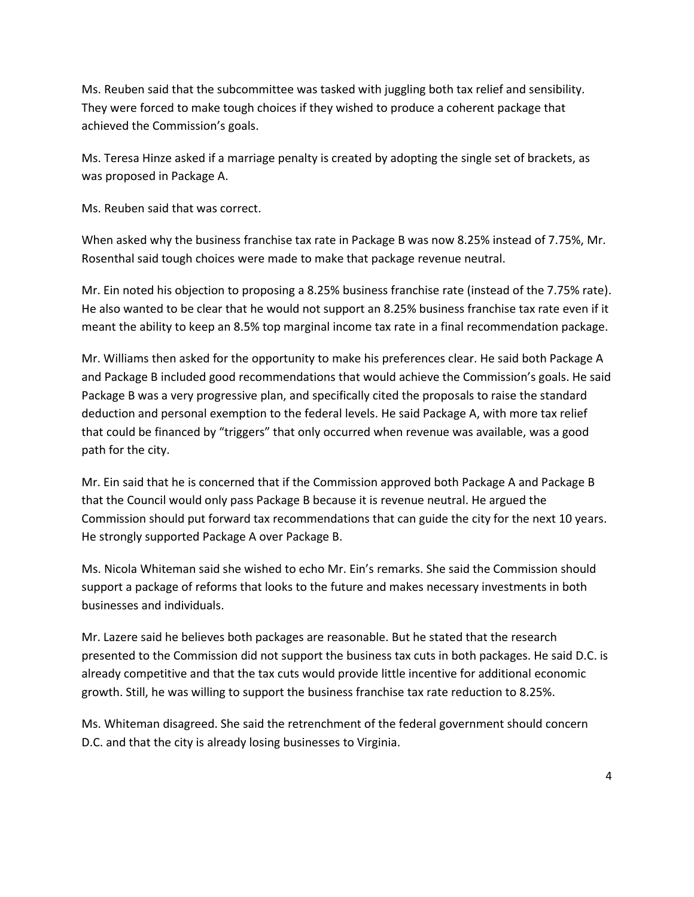Ms. Reuben said that the subcommittee was tasked with juggling both tax relief and sensibility. They were forced to make tough choices if they wished to produce a coherent package that achieved the Commission's goals.

Ms. Teresa Hinze asked if a marriage penalty is created by adopting the single set of brackets, as was proposed in Package A.

Ms. Reuben said that was correct.

When asked why the business franchise tax rate in Package B was now 8.25% instead of 7.75%, Mr. Rosenthal said tough choices were made to make that package revenue neutral.

Mr. Ein noted his objection to proposing a 8.25% business franchise rate (instead of the 7.75% rate). He also wanted to be clear that he would not support an 8.25% business franchise tax rate even if it meant the ability to keep an 8.5% top marginal income tax rate in a final recommendation package.

Mr. Williams then asked for the opportunity to make his preferences clear. He said both Package A and Package B included good recommendations that would achieve the Commission's goals. He said Package B was a very progressive plan, and specifically cited the proposals to raise the standard deduction and personal exemption to the federal levels. He said Package A, with more tax relief that could be financed by "triggers" that only occurred when revenue was available, was a good path for the city.

Mr. Ein said that he is concerned that if the Commission approved both Package A and Package B that the Council would only pass Package B because it is revenue neutral. He argued the Commission should put forward tax recommendations that can guide the city for the next 10 years. He strongly supported Package A over Package B.

Ms. Nicola Whiteman said she wished to echo Mr. Ein's remarks. She said the Commission should support a package of reforms that looks to the future and makes necessary investments in both businesses and individuals.

Mr. Lazere said he believes both packages are reasonable. But he stated that the research presented to the Commission did not support the business tax cuts in both packages. He said D.C. is already competitive and that the tax cuts would provide little incentive for additional economic growth. Still, he was willing to support the business franchise tax rate reduction to 8.25%.

Ms. Whiteman disagreed. She said the retrenchment of the federal government should concern D.C. and that the city is already losing businesses to Virginia.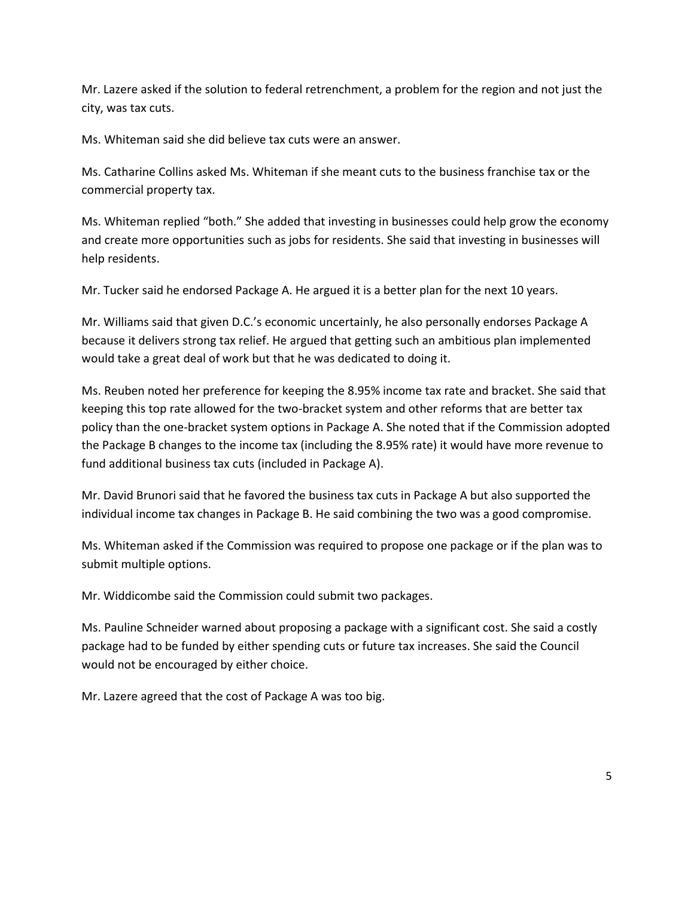Mr. Lazere asked if the solution to federal retrenchment, a problem for the region and not just the city, was tax cuts.

Ms. Whiteman said she did believe tax cuts were an answer.

Ms. Catharine Collins asked Ms. Whiteman if she meant cuts to the business franchise tax or the commercial property tax.

Ms. Whiteman replied "both." She added that investing in businesses could help grow the economy and create more opportunities such as jobs for residents. She said that investing in businesses will help residents.

Mr. Tucker said he endorsed Package A. He argued it is a better plan for the next 10 years.

Mr. Williams said that given D.C.'s economic uncertainly, he also personally endorses Package A because it delivers strong tax relief. He argued that getting such an ambitious plan implemented would take a great deal of work but that he was dedicated to doing it.

Ms. Reuben noted her preference for keeping the 8.95% income tax rate and bracket. She said that keeping this top rate allowed for the two-bracket system and other reforms that are better tax policy than the one-bracket system options in Package A. She noted that if the Commission adopted the Package B changes to the income tax (including the 8.95% rate) it would have more revenue to fund additional business tax cuts (included in Package A).

Mr. David Brunori said that he favored the business tax cuts in Package A but also supported the individual income tax changes in Package B. He said combining the two was a good compromise.

Ms. Whiteman asked if the Commission was required to propose one package or if the plan was to submit multiple options.

Mr. Widdicombe said the Commission could submit two packages.

Ms. Pauline Schneider warned about proposing a package with a significant cost. She said a costly package had to be funded by either spending cuts or future tax increases. She said the Council would not be encouraged by either choice.

Mr. Lazere agreed that the cost of Package A was too big.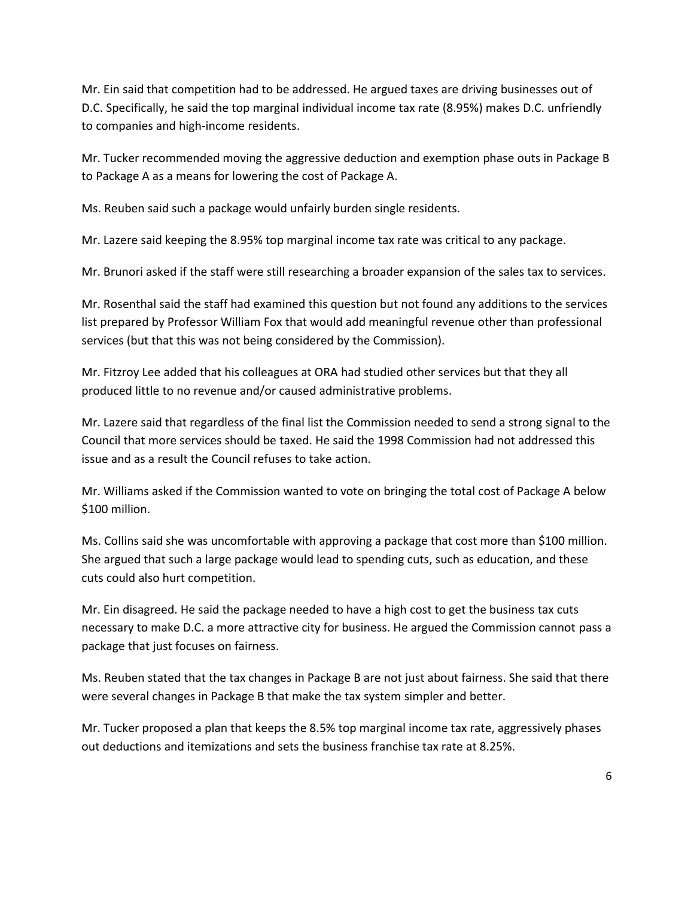Mr. Ein said that competition had to be addressed. He argued taxes are driving businesses out of D.C. Specifically, he said the top marginal individual income tax rate (8.95%) makes D.C. unfriendly to companies and high-income residents.

Mr. Tucker recommended moving the aggressive deduction and exemption phase outs in Package B to Package A as a means for lowering the cost of Package A.

Ms. Reuben said such a package would unfairly burden single residents.

Mr. Lazere said keeping the 8.95% top marginal income tax rate was critical to any package.

Mr. Brunori asked if the staff were still researching a broader expansion of the sales tax to services.

Mr. Rosenthal said the staff had examined this question but not found any additions to the services list prepared by Professor William Fox that would add meaningful revenue other than professional services (but that this was not being considered by the Commission).

Mr. Fitzroy Lee added that his colleagues at ORA had studied other services but that they all produced little to no revenue and/or caused administrative problems.

Mr. Lazere said that regardless of the final list the Commission needed to send a strong signal to the Council that more services should be taxed. He said the 1998 Commission had not addressed this issue and as a result the Council refuses to take action.

Mr. Williams asked if the Commission wanted to vote on bringing the total cost of Package A below \$100 million.

Ms. Collins said she was uncomfortable with approving a package that cost more than \$100 million. She argued that such a large package would lead to spending cuts, such as education, and these cuts could also hurt competition.

Mr. Ein disagreed. He said the package needed to have a high cost to get the business tax cuts necessary to make D.C. a more attractive city for business. He argued the Commission cannot pass a package that just focuses on fairness.

Ms. Reuben stated that the tax changes in Package B are not just about fairness. She said that there were several changes in Package B that make the tax system simpler and better.

Mr. Tucker proposed a plan that keeps the 8.5% top marginal income tax rate, aggressively phases out deductions and itemizations and sets the business franchise tax rate at 8.25%.